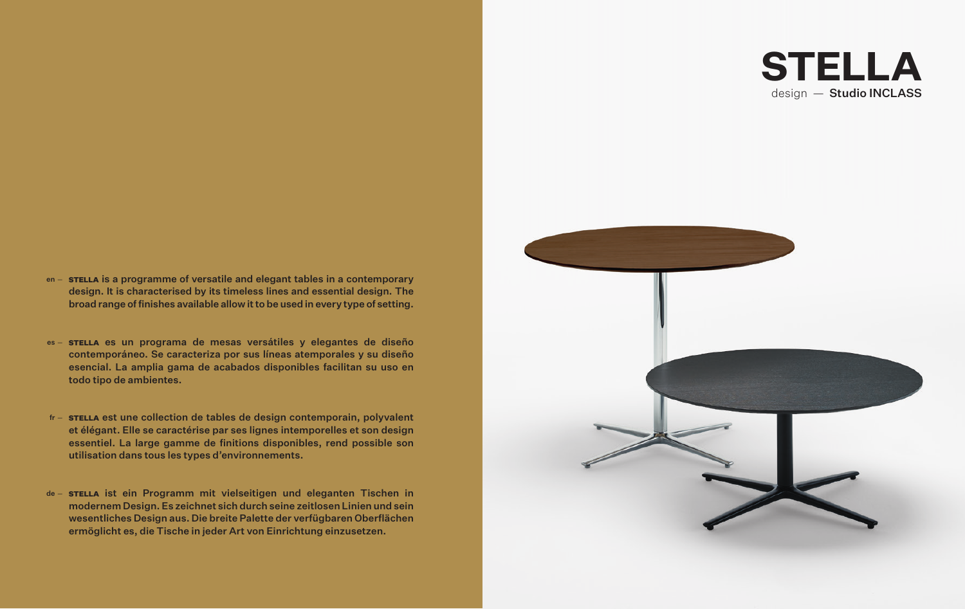# **STELLA** design - Studio INCLASS

- en sreLLA is a programme of versatile and elegant tables in a contemporary design. It is characterised by its timeless lines and essential design. The broad range of finishes available allow it to be used in every type of setting.
- es STELLA es un programa de mesas versátiles y elegantes de diseño contemporáneo. Se caracteriza por sus líneas atemporales y su diseño esencial. La amplia gama de acabados disponibles facilitan su uso en todo tipo de ambientes.
- fr **STELLA** est une collection de tables de design contemporain, polyvalent et élégant. Elle se caractérise par ses lignes intemporelles et son design essentiel. La large gamme de finitions disponibles, rend possible son utilisation dans tous les types d'environnements.
- de STELLA ist ein Programm mit vielseitigen und eleganten Tischen in modernem Design. Es zeichnet sich durch seine zeitlosen Linien und sein wesentliches Design aus. Die breite Palette der verfügbaren Oberflächen ermöglicht es, die Tische in jeder Art von Einrichtung einzusetzen.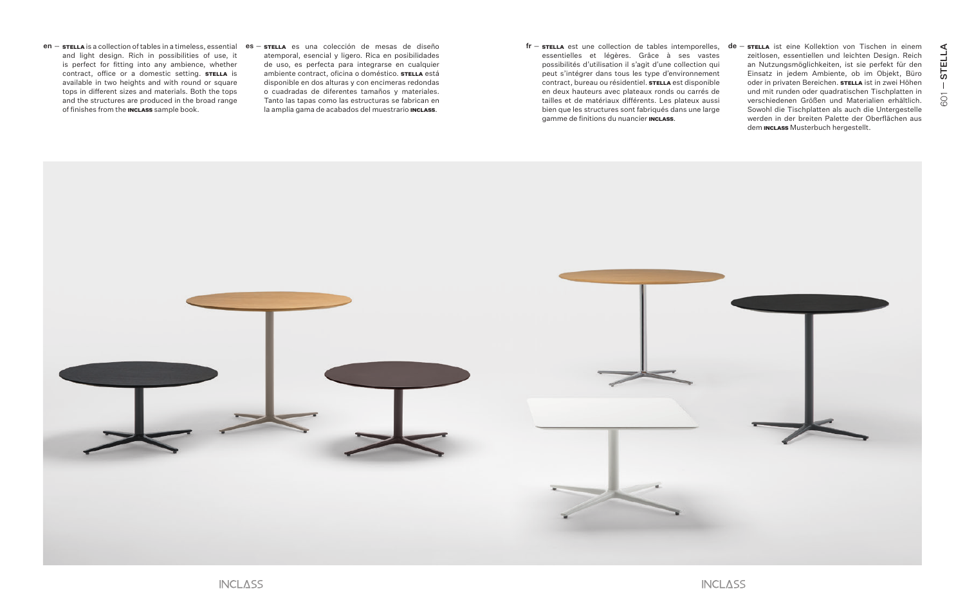- en stella is a collection of tables in a timeless, essential es stella es una colección de mesas de diseño **en la framenta est une collection de tables** intemporelles, de and light design. Rich in possibilities of use, it is perfect for fitting into any ambience, whether contract, office or a domestic setting. STELLA is available in two heights and with round or square tops in different sizes and materials. Both the tops and the structures are produced in the broad range of finishes from the **INCLASS** sample book.
- atemporal, esencial y ligero. Rica en posibilidades de uso, es perfecta para integrarse en cualquier ambiente contract, oficina o doméstico. STELLA está disponible en dos alturas y con encimeras redondas o cuadradas de diferentes tamaños y materiales. Tanto las tapas como las estructuras se fabrican en la amplia gama de acabados del muestrario **INCLASS.**
- essentielles et légères. Grâce à ses vastes possibilités d'utilisation il s'agit d'une collection qui peut s'intégrer dans tous les type d'environnement contract, bureau ou résidentiel. **STELLA** est disponible en deux hauteurs avec plateaux ronds ou carrés de tailles et de matériaux différents. Les plateux aussi bien que les structures sont fabriqués dans une large gamme de finitions du nuancier **INCLASS**.
- $\tt{srELLA}$  est une collection de tables intemporelles,  $\tt{de}-\tt{srELLA}$  ist eine Kollektion von Tischen in einem zeitlosen, essentiellen und leichten Design. Reich an Nutzungsmöglichkeiten, ist sie perfekt für den Einsatz in jedem Ambiente, ob im Objekt, Büro oder in privaten Bereichen. STELLA ist in zwei Höhen und mit runden oder quadratischen Tischplatten in verschiedenen Größen und Materialien erhältlich. Sowohl die Tischplatten als auch die Untergestelle werden in der breiten Palette der Oberflächen aus dem **INCLASS** Musterbuch hergestellt.



STELLA

601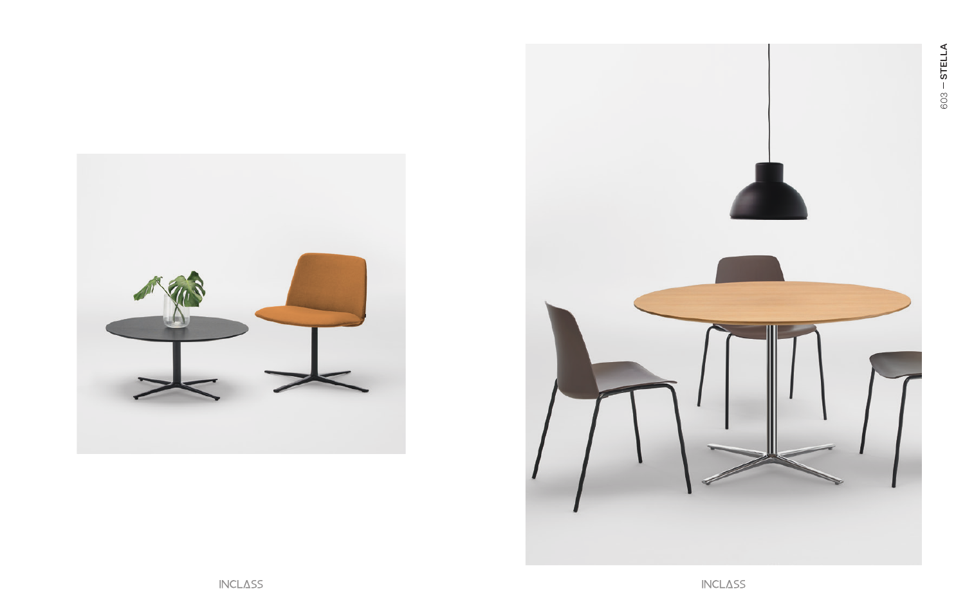